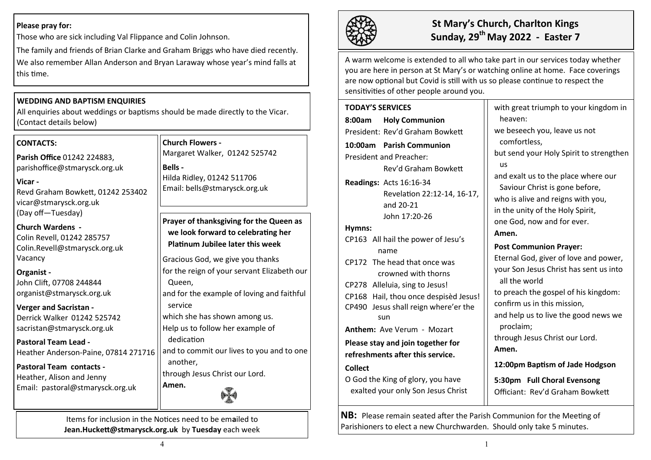## **Please pray for:**

Those who are sick including Val Flippance and Colin Johnson.

The family and friends of Brian Clarke and Graham Briggs who have died recently. We also remember Allan Anderson and Bryan Laraway whose year's mind falls at this time.

# **WEDDING AND BAPTISM ENQUIRIES**

All enquiries about weddings or baptisms should be made directly to the Vicar. (Contact details below)

## **CONTACTS:**

**Parish Office** 01242 224883, parishoffice@stmarysck.org.uk

**Vicar -** Revd Graham Bowkett, 01242 253402 vicar@stmarysck.org.uk (Day off—Tuesday)

**Church Wardens -** Colin Revell, 01242 285757 Colin.Revell@stmarysck.org.uk Vacancy

# **Organist -**

John Clift, 07708 244844 organist@stmarysck.org.uk

# **Verger and Sacristan -**

Derrick Walker 01242 525742 sacristan@stmarysck.org.uk

#### **Pastoral Team Lead -** Heather Anderson-Paine, 07814 271716

**Pastoral Team contacts -** Heather, Alison and Jenny Email: pastoral@stmarysck.org.uk

**Church Flowers -** Margaret Walker, 01242 525742

**Bells -**

Hilda Ridley, 01242 511706 Email: bells@stmarysck.org.uk

**Prayer of thanksgiving for the Queen as we look forward to celebrating her Platinum Jubilee later this week**

Gracious God, we give you thanks for the reign of your servant Elizabeth our Queen, and for the example of loving and faithful

service

which she has shown among us.

Help us to follow her example of

dedication

and to commit our lives to you and to one another,

through Jesus Christ our Lord.



Items for inclusion in the Notices need to be em**a**iled to **Jean.Huckett@stmarysck.org.uk** by **Tuesday** each week

**Amen.**



# **St Mary's Church, Charlton Kings Sunday, 29th May 2022 - Easter 7**

A warm welcome is extended to all who take part in our services today whether you are here in person at St Mary's or watching online at home. Face coverings are now optional but Covid is still with us so please continue to respect the sensitivities of other people around you.

**TODAY'S SERVICES 8:00am Holy Communion** President: Rev'd Graham Bowkett **10:00am Parish Communion**  President and Preacher: Rev'd Graham Bowkett **Readings:** Acts 16:16-34 Revelation 22:12-14, 16-17, and 20-21 John 17:20-26 **Hymns:** CP163 All hail the power of Jesu's name CP172 The head that once was crowned with thorns CP278 Alleluia, sing to Jesus! CP168 Hail, thou once despisèd Jesus! CP490 Jesus shall reign where'er the sun **Anthem:** Ave Verum - Mozart **Please stay and join together for refreshments after this service. Collect**  O God the King of glory, you have exalted your only Son Jesus Christ

with great triumph to your kingdom in heaven: we beseech you, leave us not comfortless, but send your Holy Spirit to strengthen us and exalt us to the place where our Saviour Christ is gone before, who is alive and reigns with you, in the unity of the Holy Spirit, one God, now and for ever. **Amen. Post Communion Prayer:** Eternal God, giver of love and power, your Son Jesus Christ has sent us into all the world to preach the gospel of his kingdom: confirm us in this mission, and help us to live the good news we proclaim; through Jesus Christ our Lord. **Amen. 12:00pm Baptism of Jade Hodgson**

**5:30pm Full Choral Evensong** Officiant: Rev'd Graham Bowkett

**NB:** Please remain seated after the Parish Communion for the Meeting of Parishioners to elect a new Churchwarden. Should only take 5 minutes.